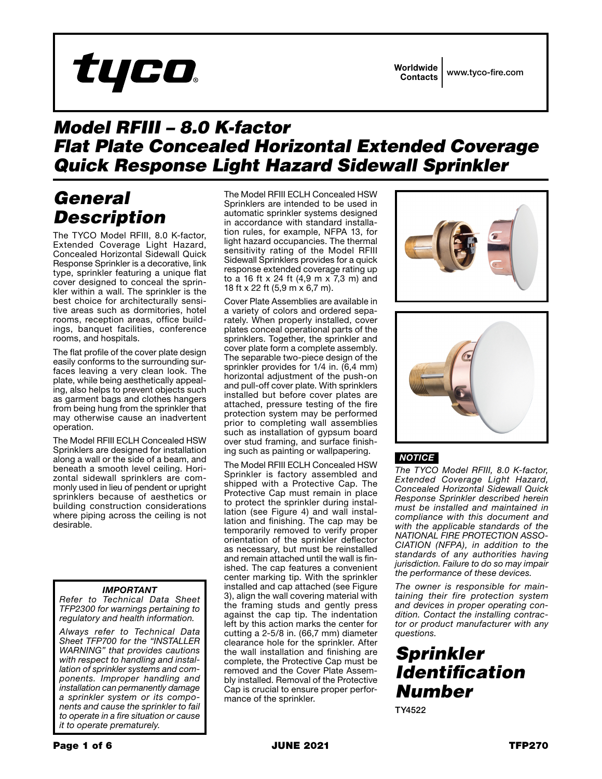# tyco

## *Model RFIII – 8.0 K-factor Flat Plate Concealed Horizontal Extended Coverage Quick Response Light Hazard Sidewall Sprinkler*

## *General Description*

The TYCO Model RFIII, 8.0 K-factor, Extended Coverage Light Hazard, Concealed Horizontal Sidewall Quick Response Sprinkler is a decorative, link type, sprinkler featuring a unique flat cover designed to conceal the sprinkler within a wall. The sprinkler is the best choice for architecturally sensitive areas such as dormitories, hotel rooms, reception areas, office buildings, banquet facilities, conference rooms, and hospitals.

The flat profile of the cover plate design easily conforms to the surrounding surfaces leaving a very clean look. The plate, while being aesthetically appealing, also helps to prevent objects such as garment bags and clothes hangers from being hung from the sprinkler that may otherwise cause an inadvertent operation.

The Model RFIII ECLH Concealed HSW Sprinklers are designed for installation along a wall or the side of a beam, and beneath a smooth level ceiling. Horizontal sidewall sprinklers are commonly used in lieu of pendent or upright sprinklers because of aesthetics or building construction considerations where piping across the ceiling is not desirable.

#### *IMPORTANT*

*Refer to Technical Data Sheet TFP2300 for warnings pertaining to regulatory and health information.*

*Always refer to Technical Data Sheet TFP700 for the "INSTALLER WARNING" that provides cautions with respect to handling and installation of sprinkler systems and components. Improper handling and installation can permanently damage a sprinkler system or its components and cause the sprinkler to fail to operate in a fire situation or cause it to operate prematurely.*

The Model RFIII ECLH Concealed HSW Sprinklers are intended to be used in automatic sprinkler systems designed in accordance with standard installation rules, for example, NFPA 13, for light hazard occupancies. The thermal sensitivity rating of the Model RFIII Sidewall Sprinklers provides for a quick response extended coverage rating up to a 16 ft x 24 ft (4,9 m x 7,3 m) and 18 ft x 22 ft (5,9 m x 6,7 m).

Cover Plate Assemblies are available in a variety of colors and ordered separately. When properly installed, cover plates conceal operational parts of the sprinklers. Together, the sprinkler and cover plate form a complete assembly. The separable two-piece design of the sprinkler provides for 1/4 in. (6,4 mm) horizontal adjustment of the push-on and pull-off cover plate. With sprinklers installed but before cover plates are attached, pressure testing of the fire protection system may be performed prior to completing wall assemblies such as installation of gypsum board over stud framing, and surface finishing such as painting or wallpapering.

The Model RFIII ECLH Concealed HSW Sprinkler is factory assembled and shipped with a Protective Cap. The Protective Cap must remain in place to protect the sprinkler during installation (see Figure 4) and wall installation and finishing. The cap may be temporarily removed to verify proper orientation of the sprinkler deflector as necessary, but must be reinstalled and remain attached until the wall is finished. The cap features a convenient center marking tip. With the sprinkler installed and cap attached (see Figure 3), align the wall covering material with the framing studs and gently press against the cap tip. The indentation left by this action marks the center for cutting a 2-5/8 in. (66,7 mm) diameter clearance hole for the sprinkler. After the wall installation and finishing are complete, the Protective Cap must be removed and the Cover Plate Assembly installed. Removal of the Protective Cap is crucial to ensure proper performance of the sprinkler.





### *NOTICE*

*The TYCO Model RFIII, 8.0 K-factor, Extended Coverage Light Hazard, Concealed Horizontal Sidewall Quick Response Sprinkler described herein must be installed and maintained in compliance with this document and with the applicable standards of the NATIONAL FIRE PROTECTION ASSO-CIATION (NFPA), in addition to the standards of any authorities having jurisdiction. Failure to do so may impair the performance of these devices.*

*The owner is responsible for maintaining their fire protection system and devices in proper operating condition. Contact the installing contractor or product manufacturer with any questions.*

## *Sprinkler Identification Number*

TY4522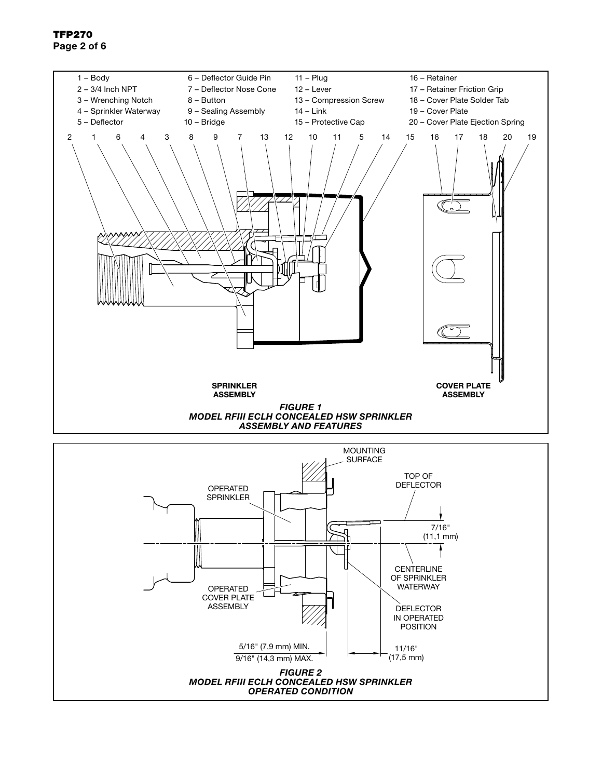

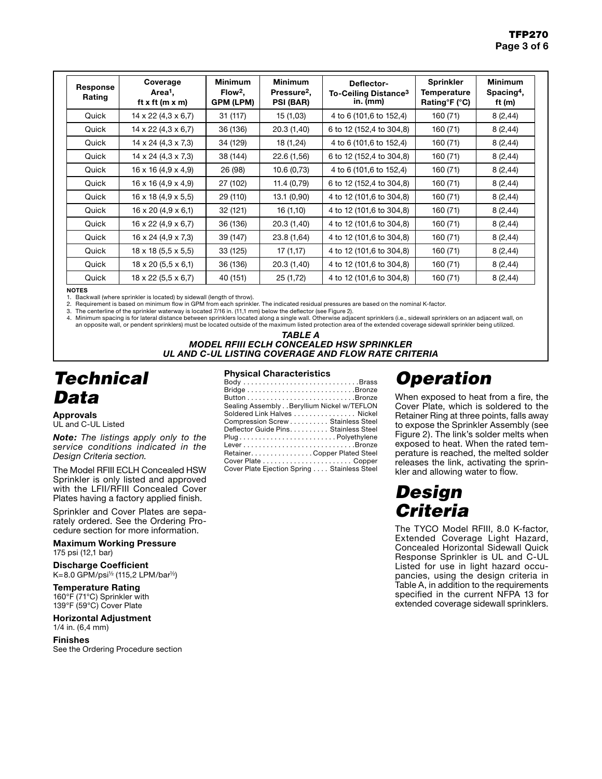| Response<br>Rating | Coverage<br>Area <sup>1</sup> ,<br>ft x ft (m x m) | <b>Minimum</b><br>Flow <sup>2</sup> .<br>GPM (LPM) | <b>Minimum</b><br>Pressure <sup>2</sup> ,<br>PSI (BAR) | Deflector-<br>To-Ceiling Distance <sup>3</sup><br>in. (mm) | <b>Sprinkler</b><br>Temperature<br>Rating $F$ (°C) | <b>Minimum</b><br>Spacing <sup>4</sup> ,<br>ft (m) |
|--------------------|----------------------------------------------------|----------------------------------------------------|--------------------------------------------------------|------------------------------------------------------------|----------------------------------------------------|----------------------------------------------------|
| Quick              | $14 \times 22$ (4,3 $\times$ 6,7)                  | 31 (117)                                           | 15 (1,03)                                              | 4 to 6 (101,6 to 152,4)                                    | 160 (71)                                           | 8(2,44)                                            |
| Quick              | $14 \times 22$ (4,3 $\times$ 6,7)                  | 36 (136)                                           | 20.3 (1,40)                                            | 6 to 12 (152,4 to 304,8)                                   | 160 (71)                                           | 8(2, 44)                                           |
| Quick              | $14 \times 24$ (4,3 x 7,3)                         | 34 (129)                                           | 18 (1,24)                                              | 4 to 6 (101,6 to 152,4)                                    | 160 (71)                                           | 8(2, 44)                                           |
| Quick              | $14 \times 24$ (4,3 x 7,3)                         | 38 (144)                                           | 22.6 (1,56)                                            | 6 to 12 (152,4 to 304,8)                                   | 160 (71)                                           | 8(2,44)                                            |
| Quick              | $16 \times 16 (4, 9 \times 4, 9)$                  | 26 (98)                                            | 10.6(0,73)                                             | 4 to 6 (101,6 to 152,4)                                    | 160 (71)                                           | 8(2,44)                                            |
| Quick              | $16 \times 16 (4.9 \times 4.9)$                    | 27 (102)                                           | 11.4 (0,79)                                            | 6 to 12 (152,4 to 304,8)                                   | 160 (71)                                           | 8(2,44)                                            |
| Quick              | $16 \times 18$ (4,9 x 5,5)                         | 29 (110)                                           | 13.1 (0,90)                                            | 4 to 12 (101,6 to 304,8)                                   | 160 (71)                                           | 8(2,44)                                            |
| Quick              | $16 \times 20 (4.9 \times 6.1)$                    | 32 (121)                                           | 16(1,10)                                               | 4 to 12 (101,6 to 304,8)                                   | 160 (71)                                           | 8(2,44)                                            |
| Quick              | $16 \times 22$ (4,9 $\times$ 6,7)                  | 36 (136)                                           | 20.3 (1,40)                                            | 4 to 12 (101,6 to 304,8)                                   | 160 (71)                                           | 8(2,44)                                            |
| Quick              | $16 \times 24$ (4,9 x 7,3)                         | 39 (147)                                           | 23.8 (1,64)                                            | 4 to 12 (101,6 to 304,8)                                   | 160 (71)                                           | 8(2,44)                                            |
| Quick              | $18 \times 18$ (5,5 $\times$ 5,5)                  | 33 (125)                                           | 17(1,17)                                               | 4 to 12 (101,6 to 304,8)                                   | 160 (71)                                           | 8(2,44)                                            |
| Quick              | $18 \times 20 (5.5 \times 6.1)$                    | 36 (136)                                           | 20.3 (1,40)                                            | 4 to 12 (101,6 to 304,8)                                   | 160 (71)                                           | 8(2,44)                                            |
| Quick              | $18 \times 22 (5,5 \times 6,7)$                    | 40 (151)                                           | 25 (1,72)                                              | 4 to 12 (101,6 to 304,8)                                   | 160 (71)                                           | 8(2,44)                                            |

NOTES

1. Backwall (where sprinkler is located) by sidewall (length of throw). 2. Requirement is based on minimum flow in GPM from each sprinkler. The indicated residual pressures are based on the nominal K-factor.

3. The centerline of the sprinkler waterway is located 7/16 in. (11,1 mm) below the deflector (see Figure 2).

4. Minimum spacing is for lateral distance between sprinklers located along a single wall. Otherwise adjacent sprinklers (i.e., sidewall sprinklers on an adjacent wall, on<br>an opposite wall, or pendent sprinklers) must be l

#### *TABLE A MODEL RFIII ECLH CONCEALED HSW SPRINKLER UL AND C-UL LISTING COVERAGE AND FLOW RATE CRITERIA*

## *Technical Data*

Approvals UL and C-UL Listed

*Note: The listings apply only to the service conditions indicated in the Design Criteria section.*

The Model RFIII ECLH Concealed HSW Sprinkler is only listed and approved with the LFII/RFIII Concealed Cover Plates having a factory applied finish.

Sprinkler and Cover Plates are separately ordered. See the Ordering Procedure section for more information.

Maximum Working Pressure 175 psi (12,1 bar)

Discharge Coefficient K=8.0 GPM/psi½ (115,2 LPM/bar½)

Temperature Rating 160°F (71°C) Sprinkler with 139°F (59°C) Cover Plate

Horizontal Adjustment 1/4 in. (6,4 mm)

Finishes See the Ordering Procedure section

#### Physical Characteristics

| Sealing Assembly Beryllium Nickel w/TEFLON  |
|---------------------------------------------|
| Soldered Link Halves  Nickel                |
| Compression Screw Stainless Steel           |
| Deflector Guide Pins. Stainless Steel       |
| PlugPolyethylene                            |
| LeverBronze                                 |
| Retainer. Copper Plated Steel               |
|                                             |
| Cover Plate Ejection Spring Stainless Steel |

## *Operation*

When exposed to heat from a fire, the Cover Plate, which is soldered to the Retainer Ring at three points, falls away to expose the Sprinkler Assembly (see Figure 2). The link's solder melts when exposed to heat. When the rated temperature is reached, the melted solder releases the link, activating the sprinkler and allowing water to flow.

## *Design Criteria*

The TYCO Model RFIII, 8.0 K-factor, Extended Coverage Light Hazard, Concealed Horizontal Sidewall Quick Response Sprinkler is UL and C-UL Listed for use in light hazard occupancies, using the design criteria in Table A, in addition to the requirements specified in the current NFPA 13 for extended coverage sidewall sprinklers.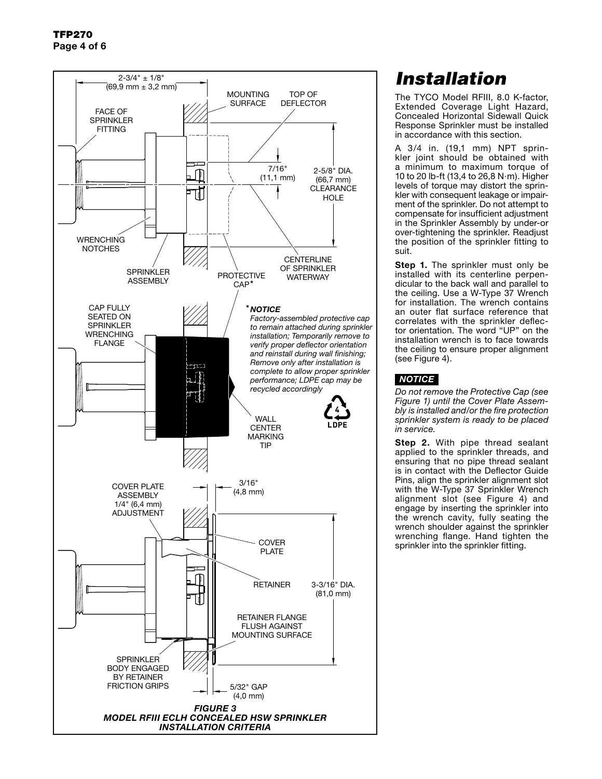

# *Installation*

The TYCO Model RFIII, 8.0 K-factor, Extended Coverage Light Hazard, Concealed Horizontal Sidewall Quick Response Sprinkler must be installed in accordance with this section.

A 3/4 in. (19,1 mm) NPT sprinkler joint should be obtained with a minimum to maximum torque of 10 to 20 lb-ft (13,4 to 26,8 N·m). Higher levels of torque may distort the sprinkler with consequent leakage or impairment of the sprinkler. Do not attempt to compensate for insufficient adjustment in the Sprinkler Assembly by under-or over-tightening the sprinkler. Readjust the position of the sprinkler fitting to suit.

Step 1. The sprinkler must only be installed with its centerline perpendicular to the back wall and parallel to the ceiling. Use a W-Type 37 Wrench for installation. The wrench contains an outer flat surface reference that correlates with the sprinkler deflector orientation. The word "UP" on the installation wrench is to face towards the ceiling to ensure proper alignment (see Figure 4).

#### *NOTICE*

*Do not remove the Protective Cap (see Figure 1) until the Cover Plate Assembly is installed and/or the fire protection sprinkler system is ready to be placed in service.*

Step 2. With pipe thread sealant applied to the sprinkler threads, and ensuring that no pipe thread sealant is in contact with the Deflector Guide Pins, align the sprinkler alignment slot with the W-Type 37 Sprinkler Wrench alignment slot (see Figure 4) and engage by inserting the sprinkler into the wrench cavity, fully seating the wrench shoulder against the sprinkler wrenching flange. Hand tighten the sprinkler into the sprinkler fitting.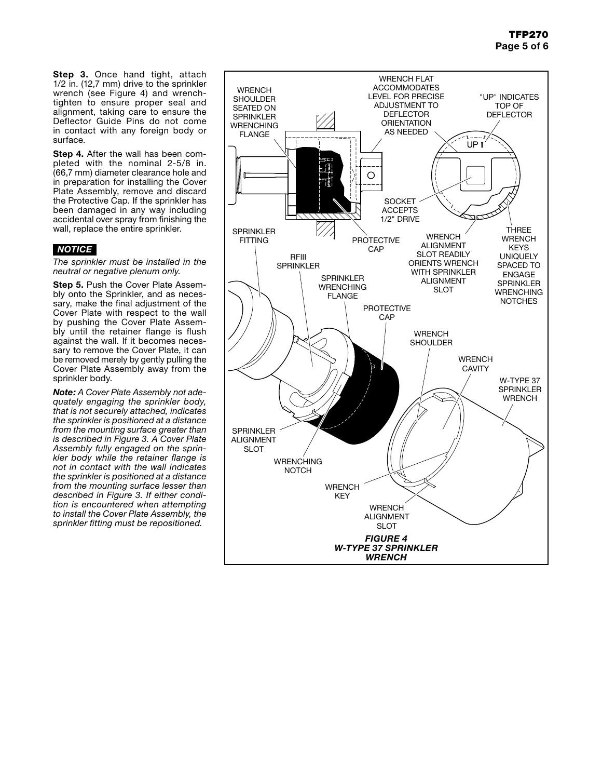Step 3. Once hand tight, attach 1/2 in. (12,7 mm) drive to the sprinkler wrench (see Figure 4) and wrenchtighten to ensure proper seal and alignment, taking care to ensure the Deflector Guide Pins do not come in contact with any foreign body or surface.

Step 4. After the wall has been completed with the nominal 2-5/8 in. (66,7 mm) diameter clearance hole and in preparation for installing the Cover Plate Assembly, remove and discard the Protective Cap. If the sprinkler has been damaged in any way including accidental over spray from finishing the wall, replace the entire sprinkler.

#### *NOTICE*

*The sprinkler must be installed in the neutral or negative plenum only.*

Step 5. Push the Cover Plate Assembly onto the Sprinkler, and as necessary, make the final adjustment of the Cover Plate with respect to the wall by pushing the Cover Plate Assembly until the retainer flange is flush against the wall. If it becomes necessary to remove the Cover Plate, it can be removed merely by gently pulling the Cover Plate Assembly away from the sprinkler body.

*Note: A Cover Plate Assembly not adequately engaging the sprinkler body, that is not securely attached, indicates the sprinkler is positioned at a distance from the mounting surface greater than is described in Figure 3. A Cover Plate Assembly fully engaged on the sprinkler body while the retainer flange is not in contact with the wall indicates the sprinkler is positioned at a distance from the mounting surface lesser than described in Figure 3. If either condition is encountered when attempting to install the Cover Plate Assembly, the sprinkler fitting must be repositioned.*